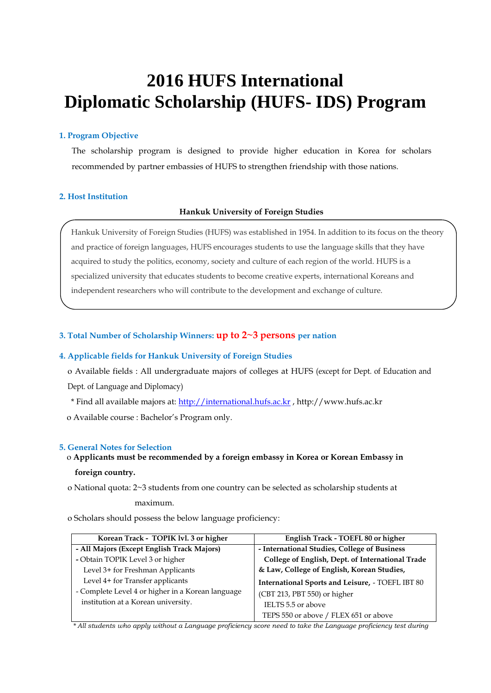# **2016 HUFS International Diplomatic Scholarship (HUFS- IDS) Program**

#### **1. Program Objective**

The scholarship program is designed to provide higher education in Korea for scholars recommended by partner embassies of HUFS to strengthen friendship with those nations.

#### **2. Host Institution**

#### **Hankuk University of Foreign Studies**

Hankuk University of Foreign Studies (HUFS) was established in 1954. In addition to its focus on the theory and practice of foreign languages, HUFS encourages students to use the language skills that they have acquired to study the politics, economy, society and culture of each region of the world. HUFS is a specialized university that educates students to become creative experts, international Koreans and independent researchers who will contribute to the development and exchange of culture.

#### **3. Total Number of Scholarship Winners: up to 2~3 persons per nation**

#### **4. Applicable fields for Hankuk University of Foreign Studies**

o Available fields : All undergraduate majors of colleges at HUFS (except for Dept. of Education and Dept. of Language and Diplomacy)

\* Find all available majors at: [http://international.hufs.ac.kr](http://international.hufs.ac.kr/) , http://www.hufs.ac.kr

o Available course : Bachelor's Program only.

#### **5. General Notes for Selection**

### o **Applicants must be recommended by a foreign embassy in Korea or Korean Embassy in foreign country.**

o National quota: 2~3 students from one country can be selected as scholarship students at

#### maximum.

o Scholars should possess the below language proficiency:

| Korean Track - TOPIK lvl. 3 or higher             | English Track - TOEFL 80 or higher               |  |  |  |
|---------------------------------------------------|--------------------------------------------------|--|--|--|
| - All Majors (Except English Track Majors)        | - International Studies, College of Business     |  |  |  |
| - Obtain TOPIK Level 3 or higher                  | College of English, Dept. of International Trade |  |  |  |
| Level 3+ for Freshman Applicants                  | & Law, College of English, Korean Studies,       |  |  |  |
| Level 4+ for Transfer applicants                  | International Sports and Leisure, - TOEFL IBT 80 |  |  |  |
| - Complete Level 4 or higher in a Korean language | (CBT 213, PBT 550) or higher                     |  |  |  |
| institution at a Korean university.               | IELTS 5.5 or above                               |  |  |  |
|                                                   | TEPS 550 or above / FLEX 651 or above            |  |  |  |

*\* All students who apply without a Language proficiency score need to take the Language proficiency test during*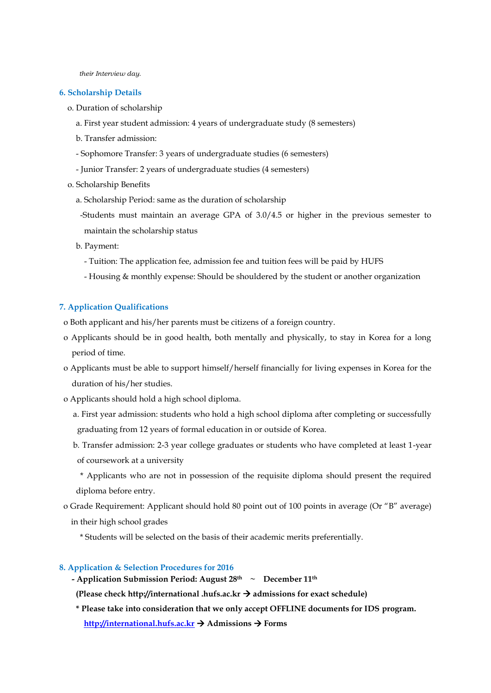*their Interview day.*

#### **6. Scholarship Details**

- o. Duration of scholarship
	- a. First year student admission: 4 years of undergraduate study (8 semesters)
	- b. Transfer admission:
	- Sophomore Transfer: 3 years of undergraduate studies (6 semesters)
	- Junior Transfer: 2 years of undergraduate studies (4 semesters)
- o. Scholarship Benefits
	- a. Scholarship Period: same as the duration of scholarship
	- -Students must maintain an average GPA of 3.0/4.5 or higher in the previous semester to maintain the scholarship status
	- b. Payment:
		- Tuition: The application fee, admission fee and tuition fees will be paid by HUFS
		- Housing & monthly expense: Should be shouldered by the student or another organization

#### **7. Application Qualifications**

- o Both applicant and his/her parents must be citizens of a foreign country.
- o Applicants should be in good health, both mentally and physically, to stay in Korea for a long period of time.
- o Applicants must be able to support himself/herself financially for living expenses in Korea for the duration of his/her studies.
- o Applicants should hold a high school diploma.
	- a. First year admission: students who hold a high school diploma after completing or successfully graduating from 12 years of formal education in or outside of Korea.
	- b. Transfer admission: 2-3 year college graduates or students who have completed at least 1-year of coursework at a university
	- \* Applicants who are not in possession of the requisite diploma should present the required diploma before entry.
- o Grade Requirement: Applicant should hold 80 point out of 100 points in average (Or "B" average)
	- in their high school grades
		- \* Students will be selected on the basis of their academic merits preferentially.

#### **8. Application & Selection Procedures for 2016**

**- Application Submission Period: August 28th ~ December 11th**

(Please check http://international .hufs.ac.kr  $\rightarrow$  admissions for exact schedule)

**\* Please take into consideration that we only accept OFFLINE documents for IDS program. [http://international.hufs.ac.kr](http://international.hufs.ac.kr/) Admissions Forms**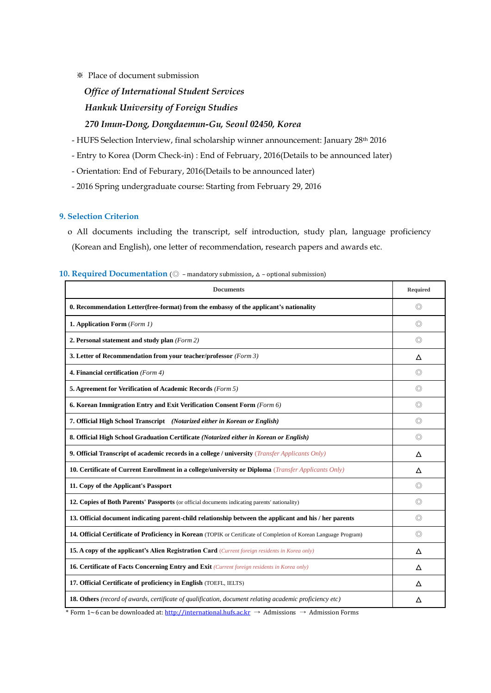#### ※ Place of document submission

## *Office of International Student Services Hankuk University of Foreign Studies 270 Imun-Dong, Dongdaemun-Gu, Seoul 02450, Korea*

- HUFS Selection Interview, final scholarship winner announcement: January 28th 2016

- Entry to Korea (Dorm Check-in) : End of February, 2016(Details to be announced later)

- Orientation: End of Feburary, 2016(Details to be announced later)

- 2016 Spring undergraduate course: Starting from February 29, 2016

#### **9. Selection Criterion**

 o All documents including the transcript, self introduction, study plan, language proficiency (Korean and English), one letter of recommendation, research papers and awards etc.

|  |  |  |  |  | 10. Required Documentation ( $\circledcirc$ - mandatory submission, $\Delta$ - optional submission) |  |  |  |
|--|--|--|--|--|-----------------------------------------------------------------------------------------------------|--|--|--|
|--|--|--|--|--|-----------------------------------------------------------------------------------------------------|--|--|--|

| <b>Documents</b>                                                                                                  |   |  |  |  |
|-------------------------------------------------------------------------------------------------------------------|---|--|--|--|
| 0. Recommendation Letter (free-format) from the embassy of the applicant's nationality                            |   |  |  |  |
| 1. Application Form (Form 1)                                                                                      |   |  |  |  |
| 2. Personal statement and study plan (Form 2)                                                                     |   |  |  |  |
| 3. Letter of Recommendation from your teacher/professor (Form 3)                                                  |   |  |  |  |
| 4. Financial certification (Form 4)                                                                               |   |  |  |  |
| 5. Agreement for Verification of Academic Records (Form 5)                                                        |   |  |  |  |
| 6. Korean Immigration Entry and Exit Verification Consent Form (Form 6)                                           |   |  |  |  |
| 7. Official High School Transcript (Notarized either in Korean or English)                                        |   |  |  |  |
| 8. Official High School Graduation Certificate (Notarized either in Korean or English)                            |   |  |  |  |
| <b>9. Official Transcript of academic records in a college / university</b> ( <i>Transfer Applicants Only</i> )   |   |  |  |  |
| 10. Certificate of Current Enrollment in a college/university or Diploma ( <i>Transfer Applicants Only</i> )      |   |  |  |  |
| 11. Copy of the Applicant's Passport                                                                              |   |  |  |  |
| 12. Copies of Both Parents' Passports (or official documents indicating parents' nationality)                     |   |  |  |  |
| 13. Official document indicating parent-child relationship between the applicant and his / her parents            |   |  |  |  |
| 14. Official Certificate of Proficiency in Korean (TOPIK or Certificate of Completion of Korean Language Program) |   |  |  |  |
| <b>15. A copy of the applicant's Alien Registration Card</b> (Current foreign residents in Korea only)            |   |  |  |  |
| 16. Certificate of Facts Concerning Entry and Exit (Current foreign residents in Korea only)                      |   |  |  |  |
| 17. Official Certificate of proficiency in English (TOEFL, IELTS)                                                 |   |  |  |  |
| 18. Others (record of awards, certificate of qualification, document relating academic proficiency etc)           | Δ |  |  |  |

\* Form 1~6 can be downloaded at[: http://international.hufs.ac.kr](http://international.hufs.ac.kr/)  $\rightarrow$  Admissions  $\rightarrow$  Admission Forms